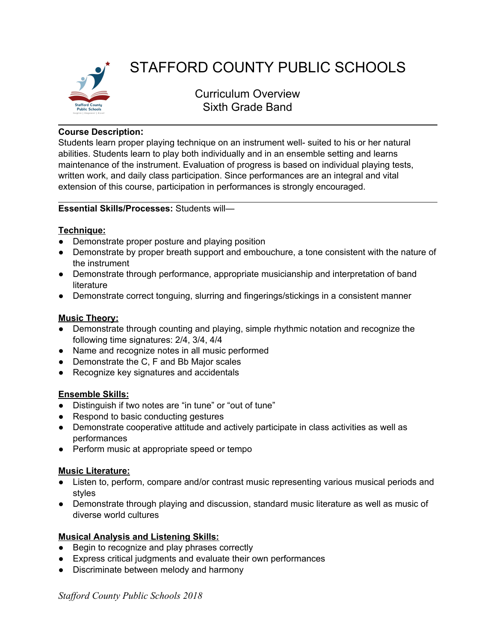

# STAFFORD COUNTY PUBLIC SCHOOLS

Curriculum Overview Sixth Grade Band

# **Course Description:**

Students learn proper playing technique on an instrument well- suited to his or her natural abilities. Students learn to play both individually and in an ensemble setting and learns maintenance of the instrument. Evaluation of progress is based on individual playing tests, written work, and daily class participation. Since performances are an integral and vital extension of this course, participation in performances is strongly encouraged.

## **Essential Skills/Processes:** Students will—

## **Technique:**

- Demonstrate proper posture and playing position
- Demonstrate by proper breath support and embouchure, a tone consistent with the nature of the instrument
- Demonstrate through performance, appropriate musicianship and interpretation of band literature
- Demonstrate correct tonguing, slurring and fingerings/stickings in a consistent manner

# **Music Theory:**

- Demonstrate through counting and playing, simple rhythmic notation and recognize the following time signatures: 2/4, 3/4, 4/4
- Name and recognize notes in all music performed
- Demonstrate the C, F and Bb Major scales
- Recognize key signatures and accidentals

# **Ensemble Skills:**

- Distinguish if two notes are "in tune" or "out of tune"
- Respond to basic conducting gestures
- Demonstrate cooperative attitude and actively participate in class activities as well as performances
- Perform music at appropriate speed or tempo

### **Music Literature:**

- Listen to, perform, compare and/or contrast music representing various musical periods and styles
- Demonstrate through playing and discussion, standard music literature as well as music of diverse world cultures

# **Musical Analysis and Listening Skills:**

- Begin to recognize and play phrases correctly
- Express critical judgments and evaluate their own performances
- Discriminate between melody and harmony